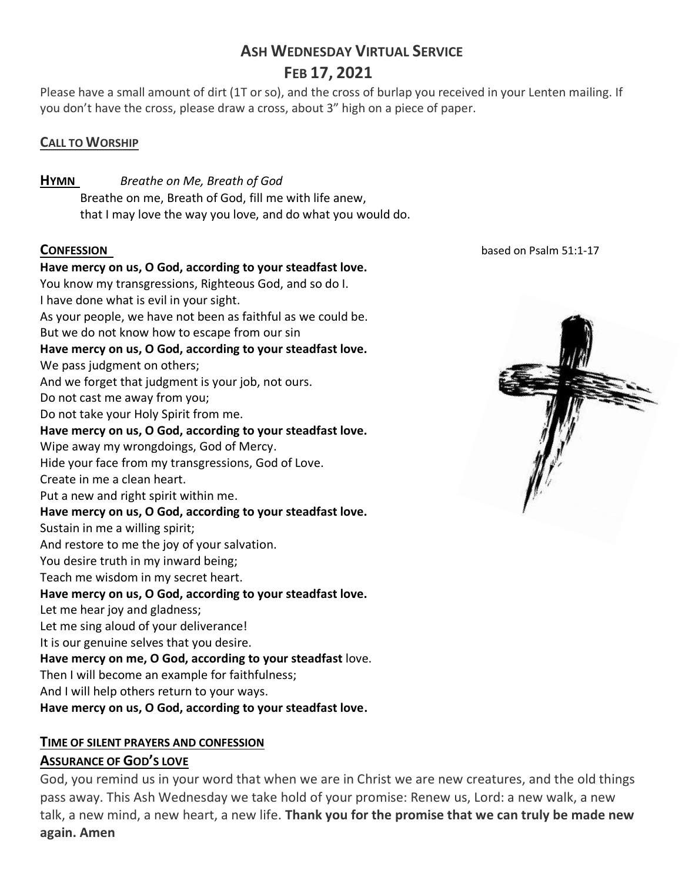# **ASH WEDNESDAY VIRTUAL SERVICE FEB 17, 2021**

Please have a small amount of dirt (1T or so), and the cross of burlap you received in your Lenten mailing. If you don't have the cross, please draw a cross, about 3" high on a piece of paper.

# **CALL TO WORSHIP**

**HYMN** *Breathe on Me, Breath of God* Breathe on me, Breath of God, fill me with life anew, that I may love the way you love, and do what you would do.

**Have mercy on us, O God, according to your steadfast love.** You know my transgressions, Righteous God, and so do I. I have done what is evil in your sight. As your people, we have not been as faithful as we could be. But we do not know how to escape from our sin **Have mercy on us, O God, according to your steadfast love.** We pass judgment on others; And we forget that judgment is your job, not ours. Do not cast me away from you; Do not take your Holy Spirit from me. **Have mercy on us, O God, according to your steadfast love.** Wipe away my wrongdoings, God of Mercy. Hide your face from my transgressions, God of Love. Create in me a clean heart. Put a new and right spirit within me. **Have mercy on us, O God, according to your steadfast love.** Sustain in me a willing spirit; And restore to me the joy of your salvation. You desire truth in my inward being; Teach me wisdom in my secret heart. **Have mercy on us, O God, according to your steadfast love.** Let me hear joy and gladness; Let me sing aloud of your deliverance! It is our genuine selves that you desire. **Have mercy on me, O God, according to your steadfast** love. Then I will become an example for faithfulness; And I will help others return to your ways. **Have mercy on us, O God, according to your steadfast love.**

# **TIME OF SILENT PRAYERS AND CONFESSION**

# **ASSURANCE OF GOD'S LOVE**

God, you remind us in your word that when we are in Christ we are new creatures, and the old things pass away. This Ash Wednesday we take hold of your promise: Renew us, Lord: a new walk, a new talk, a new mind, a new heart, a new life. **Thank you for the promise that we can truly be made new again. Amen**

**CONFESSION** based on Psalm 51:1-17